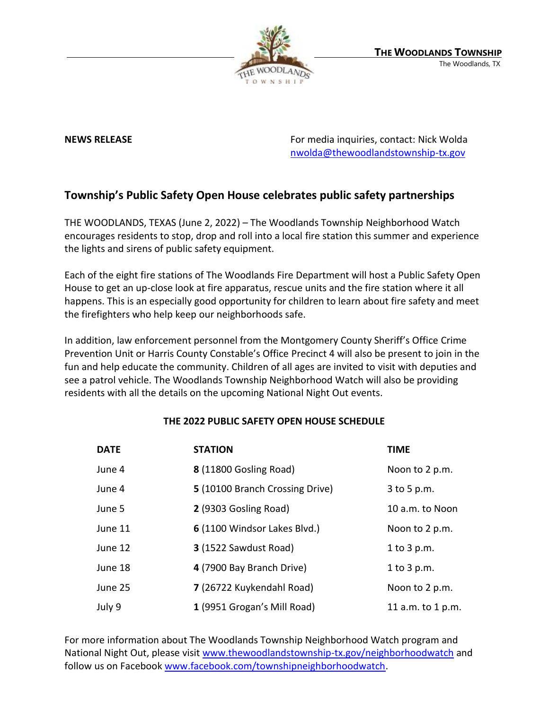

**NEWS RELEASE** For media inquiries, contact: Nick Wolda **NEWS** RELEASE [nwolda@thewoodlandstownship-tx.gov](mailto:nwolda@thewoodlandstownship-tx.gov)

## **Township's Public Safety Open House celebrates public safety partnerships**

THE WOODLANDS, TEXAS (June 2, 2022) – The Woodlands Township Neighborhood Watch encourages residents to stop, drop and roll into a local fire station this summer and experience the lights and sirens of public safety equipment.

Each of the eight fire stations of The Woodlands Fire Department will host a Public Safety Open House to get an up-close look at fire apparatus, rescue units and the fire station where it all happens. This is an especially good opportunity for children to learn about fire safety and meet the firefighters who help keep our neighborhoods safe.

In addition, law enforcement personnel from the Montgomery County Sheriff's Office Crime Prevention Unit or Harris County Constable's Office Precinct 4 will also be present to join in the fun and help educate the community. Children of all ages are invited to visit with deputies and see a patrol vehicle. The Woodlands Township Neighborhood Watch will also be providing residents with all the details on the upcoming National Night Out events.

## **THE 2022 PUBLIC SAFETY OPEN HOUSE SCHEDULE**

| <b>DATE</b> | <b>STATION</b>                  | <b>TIME</b>       |
|-------------|---------------------------------|-------------------|
| June 4      | 8 (11800 Gosling Road)          | Noon to 2 p.m.    |
| June 4      | 5 (10100 Branch Crossing Drive) | $3$ to 5 p.m.     |
| June 5      | 2 (9303 Gosling Road)           | 10 a.m. to Noon   |
| June 11     | 6 (1100 Windsor Lakes Blvd.)    | Noon to 2 p.m.    |
| June 12     | 3 (1522 Sawdust Road)           | $1$ to $3$ p.m.   |
| June 18     | 4 (7900 Bay Branch Drive)       | $1$ to $3$ p.m.   |
| June 25     | 7 (26722 Kuykendahl Road)       | Noon to 2 p.m.    |
| July 9      | 1 (9951 Grogan's Mill Road)     | 11 a.m. to 1 p.m. |

For more information about The Woodlands Township Neighborhood Watch program and National Night Out, please visit [www.thewoodlandstownship-tx.gov/neighborhoodwatch](http://www.thewoodlandstownship-tx.gov/neighborhoodwatch) and follow us on Faceboo[k www.facebook.com/townshipneighborhoodwatch.](http://www.facebook.com/townshipneighborhoodwatch)